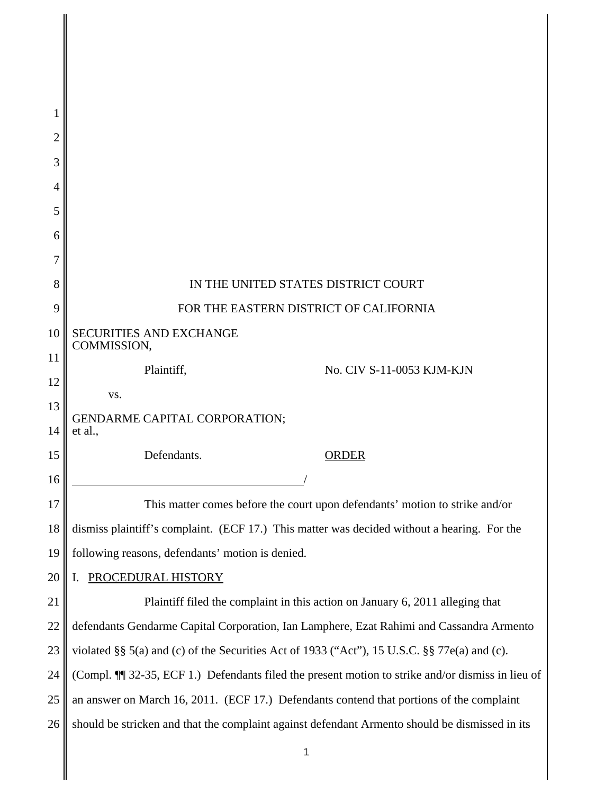| 1              |                                                                                                  |
|----------------|--------------------------------------------------------------------------------------------------|
| $\overline{2}$ |                                                                                                  |
| 3              |                                                                                                  |
| 4              |                                                                                                  |
| 5              |                                                                                                  |
| 6              |                                                                                                  |
| 7              |                                                                                                  |
| 8              | IN THE UNITED STATES DISTRICT COURT                                                              |
| 9              | FOR THE EASTERN DISTRICT OF CALIFORNIA                                                           |
| 10             | SECURITIES AND EXCHANGE<br>COMMISSION,                                                           |
| 11             | Plaintiff,<br>No. CIV S-11-0053 KJM-KJN                                                          |
| 12             | VS.                                                                                              |
| 13             | <b>GENDARME CAPITAL CORPORATION;</b>                                                             |
| 14             | et al.,                                                                                          |
| 15<br>16       | Defendants.<br><b>ORDER</b>                                                                      |
| 17             | This matter comes before the court upon defendants' motion to strike and/or                      |
| 18             | dismiss plaintiff's complaint. (ECF 17.) This matter was decided without a hearing. For the      |
| 19             | following reasons, defendants' motion is denied.                                                 |
| 20             | PROCEDURAL HISTORY<br>I.                                                                         |
| 21             | Plaintiff filed the complaint in this action on January 6, 2011 alleging that                    |
| 22             | defendants Gendarme Capital Corporation, Ian Lamphere, Ezat Rahimi and Cassandra Armento         |
| 23             | violated §§ 5(a) and (c) of the Securities Act of 1933 ("Act"), 15 U.S.C. §§ 77e(a) and (c).     |
| 24             | (Compl. ¶ 32-35, ECF 1.) Defendants filed the present motion to strike and/or dismiss in lieu of |
| 25             | an answer on March 16, 2011. (ECF 17.) Defendants contend that portions of the complaint         |
| 26             | should be stricken and that the complaint against defendant Armento should be dismissed in its   |
|                | $\mathbf 1$                                                                                      |
|                |                                                                                                  |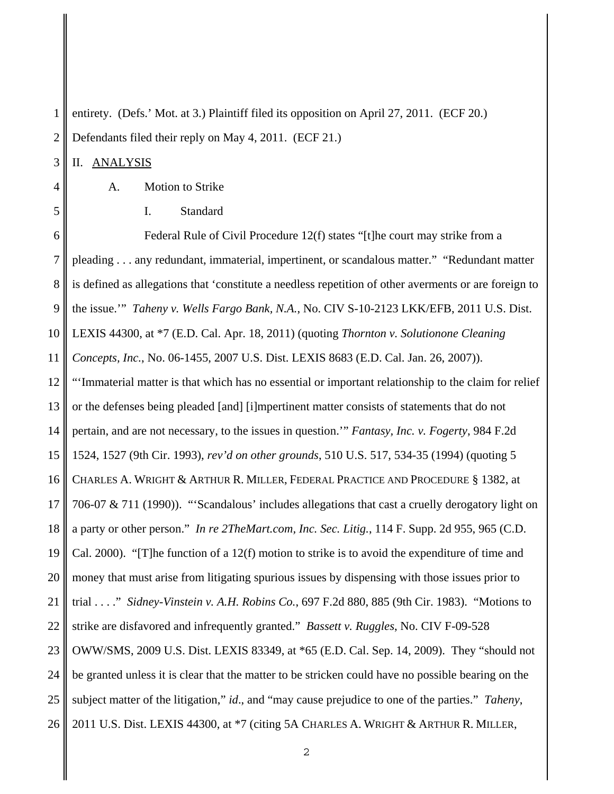1 2 entirety. (Defs.' Mot. at 3.) Plaintiff filed its opposition on April 27, 2011. (ECF 20.) Defendants filed their reply on May 4, 2011. (ECF 21.)

3 II. ANALYSIS

4

5

A. Motion to Strike

I. Standard

6 7 8 9 10 11 12 13 14 15 16 17 18 19 20 21 22 23 24 25 26 Federal Rule of Civil Procedure 12(f) states "[t]he court may strike from a pleading . . . any redundant, immaterial, impertinent, or scandalous matter." "Redundant matter is defined as allegations that 'constitute a needless repetition of other averments or are foreign to the issue.'" *Taheny v. Wells Fargo Bank, N.A.*, No. CIV S-10-2123 LKK/EFB, 2011 U.S. Dist. LEXIS 44300, at \*7 (E.D. Cal. Apr. 18, 2011) (quoting *Thornton v. Solutionone Cleaning Concepts, Inc.*, No. 06-1455, 2007 U.S. Dist. LEXIS 8683 (E.D. Cal. Jan. 26, 2007)). "'Immaterial matter is that which has no essential or important relationship to the claim for relief or the defenses being pleaded [and] [i]mpertinent matter consists of statements that do not pertain, and are not necessary, to the issues in question.'" *Fantasy, Inc. v. Fogerty*, 984 F.2d 1524, 1527 (9th Cir. 1993), *rev'd on other grounds*, 510 U.S. 517, 534-35 (1994) (quoting 5 CHARLES A. WRIGHT & ARTHUR R. MILLER, FEDERAL PRACTICE AND PROCEDURE § 1382, at 706-07 & 711 (1990)). "'Scandalous' includes allegations that cast a cruelly derogatory light on a party or other person." *In re 2TheMart.com, Inc. Sec. Litig.*, 114 F. Supp. 2d 955, 965 (C.D. Cal. 2000). "[T]he function of a 12(f) motion to strike is to avoid the expenditure of time and money that must arise from litigating spurious issues by dispensing with those issues prior to trial . . . ." *Sidney-Vinstein v. A.H. Robins Co.*, 697 F.2d 880, 885 (9th Cir. 1983). "Motions to strike are disfavored and infrequently granted." *Bassett v. Ruggles*, No. CIV F-09-528 OWW/SMS, 2009 U.S. Dist. LEXIS 83349, at \*65 (E.D. Cal. Sep. 14, 2009). They "should not be granted unless it is clear that the matter to be stricken could have no possible bearing on the subject matter of the litigation," *id*., and "may cause prejudice to one of the parties." *Taheny*, 2011 U.S. Dist. LEXIS 44300, at \*7 (citing 5A CHARLES A. WRIGHT & ARTHUR R. MILLER,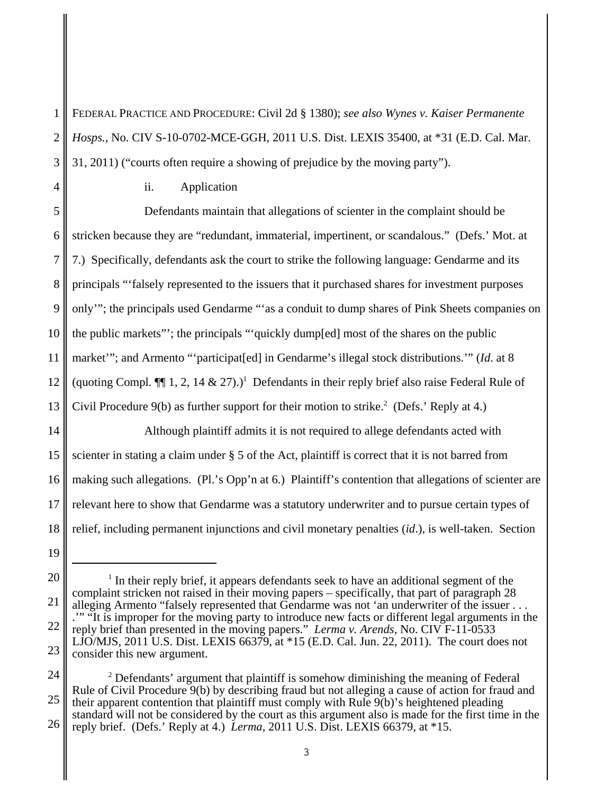1 2 3 FEDERAL PRACTICE AND PROCEDURE: Civil 2d § 1380); *see also Wynes v. Kaiser Permanente Hosps.*, No. CIV S-10-0702-MCE-GGH, 2011 U.S. Dist. LEXIS 35400, at \*31 (E.D. Cal. Mar. 31, 2011) ("courts often require a showing of prejudice by the moving party").

4

## ii. Application

5 6 7 8 9 10 11 12 13 14 15 Defendants maintain that allegations of scienter in the complaint should be stricken because they are "redundant, immaterial, impertinent, or scandalous." (Defs.' Mot. at 7.) Specifically, defendants ask the court to strike the following language: Gendarme and its principals "'falsely represented to the issuers that it purchased shares for investment purposes only'"; the principals used Gendarme "'as a conduit to dump shares of Pink Sheets companies on the public markets"'; the principals "'quickly dump[ed] most of the shares on the public market"; and Armento "'participat[ed] in Gendarme's illegal stock distributions." (*Id.* at 8 (quoting Compl.  $\P$ ], 2, 14 & 27).)<sup>1</sup> Defendants in their reply brief also raise Federal Rule of Civil Procedure  $9(b)$  as further support for their motion to strike.<sup>2</sup> (Defs.' Reply at 4.) Although plaintiff admits it is not required to allege defendants acted with scienter in stating a claim under § 5 of the Act, plaintiff is correct that it is not barred from

16 17 18 making such allegations. (Pl.'s Opp'n at 6.) Plaintiff's contention that allegations of scienter are relevant here to show that Gendarme was a statutory underwriter and to pursue certain types of relief, including permanent injunctions and civil monetary penalties (*id*.), is well-taken. Section

24 25 26  $2$  Defendants' argument that plaintiff is somehow diminishing the meaning of Federal Rule of Civil Procedure 9(b) by describing fraud but not alleging a cause of action for fraud and their apparent contention that plaintiff must comply with Rule 9(b)'s heightened pleading standard will not be considered by the court as this argument also is made for the first time in the reply brief. (Defs.' Reply at 4.) *Lerma*, 2011 U.S. Dist. LEXIS 66379, at \*15.

<sup>19</sup>

<sup>20</sup> 21 22 23  $<sup>1</sup>$  In their reply brief, it appears defendants seek to have an additional segment of the</sup> complaint stricken not raised in their moving papers – specifically, that part of paragraph 28 alleging Armento "falsely represented that Gendarme was not 'an underwriter of the issuer . . . .'" "It is improper for the moving party to introduce new facts or different legal arguments in the reply brief than presented in the moving papers." *Lerma v. Arends*, No. CIV F-11-0533 LJO/MJS, 2011 U.S. Dist. LEXIS 66379, at  $*15$  (E.D. Cal. Jun. 22, 2011). The court does not consider this new argument.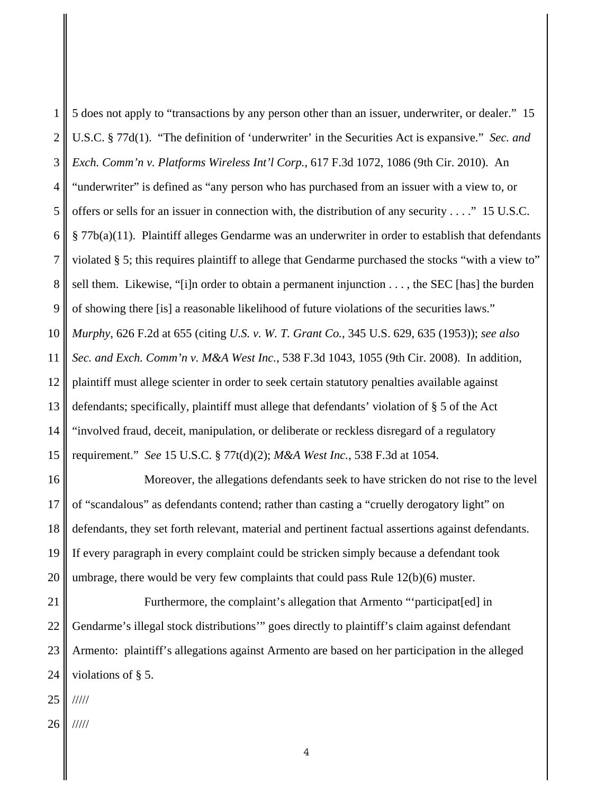1 2 3 4 5 6 7 8 9 10 11 12 13 14 15 5 does not apply to "transactions by any person other than an issuer, underwriter, or dealer." 15 U.S.C. § 77d(1). "The definition of 'underwriter' in the Securities Act is expansive." *Sec. and Exch. Comm'n v. Platforms Wireless Int'l Corp.*, 617 F.3d 1072, 1086 (9th Cir. 2010). An "underwriter" is defined as "any person who has purchased from an issuer with a view to, or offers or sells for an issuer in connection with, the distribution of any security . . . ." 15 U.S.C. § 77b(a)(11). Plaintiff alleges Gendarme was an underwriter in order to establish that defendants violated § 5; this requires plaintiff to allege that Gendarme purchased the stocks "with a view to" sell them. Likewise, "[i]n order to obtain a permanent injunction . . . , the SEC [has] the burden of showing there [is] a reasonable likelihood of future violations of the securities laws." *Murphy*, 626 F.2d at 655 (citing *U.S. v. W. T. Grant Co.*, 345 U.S. 629, 635 (1953)); *see also Sec. and Exch. Comm'n v. M&A West Inc.*, 538 F.3d 1043, 1055 (9th Cir. 2008). In addition, plaintiff must allege scienter in order to seek certain statutory penalties available against defendants; specifically, plaintiff must allege that defendants' violation of § 5 of the Act "involved fraud, deceit, manipulation, or deliberate or reckless disregard of a regulatory requirement." *See* 15 U.S.C. § 77t(d)(2); *M&A West Inc.*, 538 F.3d at 1054.

16 17 18 19 20 Moreover, the allegations defendants seek to have stricken do not rise to the level of "scandalous" as defendants contend; rather than casting a "cruelly derogatory light" on defendants, they set forth relevant, material and pertinent factual assertions against defendants. If every paragraph in every complaint could be stricken simply because a defendant took umbrage, there would be very few complaints that could pass Rule 12(b)(6) muster.

21 22 23 24 Furthermore, the complaint's allegation that Armento "'participat[ed] in Gendarme's illegal stock distributions'" goes directly to plaintiff's claim against defendant Armento: plaintiff's allegations against Armento are based on her participation in the alleged violations of § 5.

25 /////

26 /////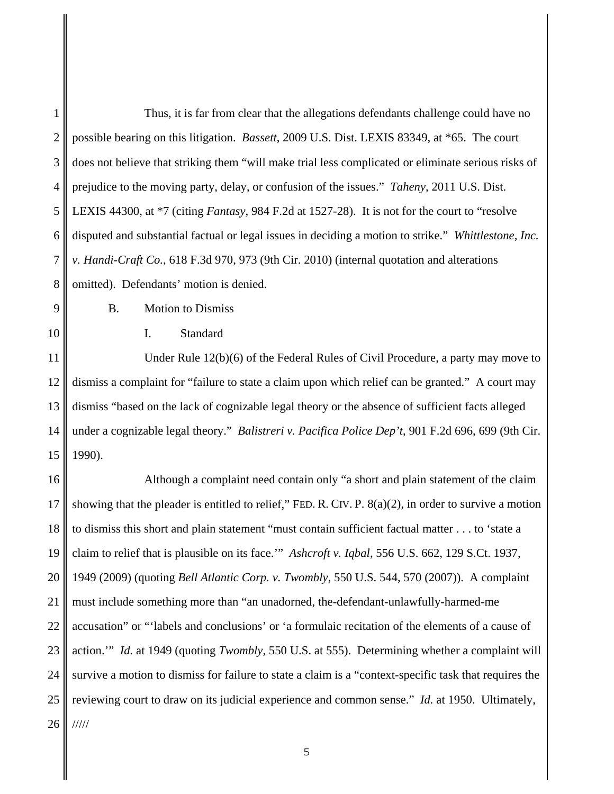| 1              | Thus, it is far from clear that the allegations defendants challenge could have no                        |
|----------------|-----------------------------------------------------------------------------------------------------------|
| $\overline{2}$ | possible bearing on this litigation. Bassett, 2009 U.S. Dist. LEXIS 83349, at *65. The court              |
| 3              | does not believe that striking them "will make trial less complicated or eliminate serious risks of       |
| 4              | prejudice to the moving party, delay, or confusion of the issues." <i>Taheny</i> , 2011 U.S. Dist.        |
| 5              | LEXIS 44300, at *7 (citing Fantasy, 984 F.2d at 1527-28). It is not for the court to "resolve"            |
| 6              | disputed and substantial factual or legal issues in deciding a motion to strike." Whittlestone, Inc.      |
| $\tau$         | v. Handi-Craft Co., 618 F.3d 970, 973 (9th Cir. 2010) (internal quotation and alterations                 |
| 8              | omitted). Defendants' motion is denied.                                                                   |
| 9              | <b>B.</b><br><b>Motion to Dismiss</b>                                                                     |
| 10             | Standard<br>I.                                                                                            |
| 11             | Under Rule 12(b)(6) of the Federal Rules of Civil Procedure, a party may move to                          |
| 12             | dismiss a complaint for "failure to state a claim upon which relief can be granted." A court may          |
| 13             | dismiss "based on the lack of cognizable legal theory or the absence of sufficient facts alleged          |
| 14             | under a cognizable legal theory." Balistreri v. Pacifica Police Dep't, 901 F.2d 696, 699 (9th Cir.        |
| 15             | 1990).                                                                                                    |
| 16             | Although a complaint need contain only "a short and plain statement of the claim                          |
| 17             | showing that the pleader is entitled to relief," FED. R. CIV. P. $8(a)(2)$ , in order to survive a motion |
| 18             | to dismiss this short and plain statement "must contain sufficient factual matter to 'state a             |
| 19             | claim to relief that is plausible on its face." Ashcroft v. Iqbal, 556 U.S. 662, 129 S.Ct. 1937.          |
| 20             | 1949 (2009) (quoting Bell Atlantic Corp. v. Twombly, 550 U.S. 544, 570 (2007)). A complaint               |
| 21             | must include something more than "an unadorned, the-defendant-unlawfully-harmed-me                        |
| 22             | accusation" or "'labels and conclusions' or 'a formulaic recitation of the elements of a cause of         |
| 23             | action." Id. at 1949 (quoting Twombly, 550 U.S. at 555). Determining whether a complaint will             |
| 24             | survive a motion to dismiss for failure to state a claim is a "context-specific task that requires the    |
| 25             | reviewing court to draw on its judicial experience and common sense." Id. at 1950. Ultimately,            |
| 26             | 11111                                                                                                     |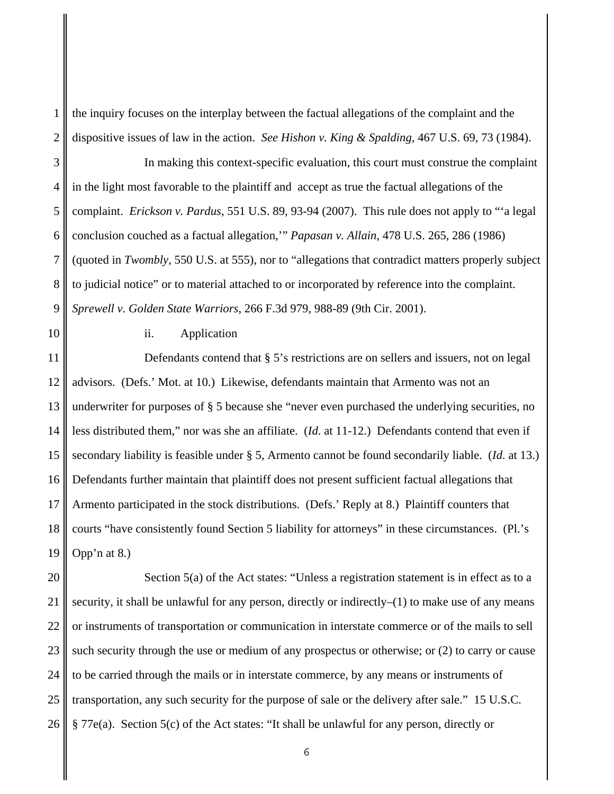1 2 the inquiry focuses on the interplay between the factual allegations of the complaint and the dispositive issues of law in the action. *See Hishon v. King & Spalding*, 467 U.S. 69, 73 (1984).

3 4 5 6 7 8 9 In making this context-specific evaluation, this court must construe the complaint in the light most favorable to the plaintiff and accept as true the factual allegations of the complaint. *Erickson v. Pardus*, 551 U.S. 89, 93-94 (2007). This rule does not apply to "'a legal conclusion couched as a factual allegation,'" *Papasan v. Allain*, 478 U.S. 265, 286 (1986) (quoted in *Twombly*, 550 U.S. at 555), nor to "allegations that contradict matters properly subject to judicial notice" or to material attached to or incorporated by reference into the complaint. *Sprewell v. Golden State Warriors*, 266 F.3d 979, 988-89 (9th Cir. 2001).

10

## ii. Application

11 12 13 14 15 16 17 18 19 Defendants contend that § 5's restrictions are on sellers and issuers, not on legal advisors. (Defs.' Mot. at 10.) Likewise, defendants maintain that Armento was not an underwriter for purposes of § 5 because she "never even purchased the underlying securities, no less distributed them," nor was she an affiliate. (*Id*. at 11-12.) Defendants contend that even if secondary liability is feasible under § 5, Armento cannot be found secondarily liable. (*Id*. at 13.) Defendants further maintain that plaintiff does not present sufficient factual allegations that Armento participated in the stock distributions. (Defs.' Reply at 8.) Plaintiff counters that courts "have consistently found Section 5 liability for attorneys" in these circumstances. (Pl.'s Opp'n at 8.)

20 21 22 23 24 25 26 Section 5(a) of the Act states: "Unless a registration statement is in effect as to a security, it shall be unlawful for any person, directly or indirectly– $(1)$  to make use of any means or instruments of transportation or communication in interstate commerce or of the mails to sell such security through the use or medium of any prospectus or otherwise; or (2) to carry or cause to be carried through the mails or in interstate commerce, by any means or instruments of transportation, any such security for the purpose of sale or the delivery after sale." 15 U.S.C. § 77e(a). Section 5(c) of the Act states: "It shall be unlawful for any person, directly or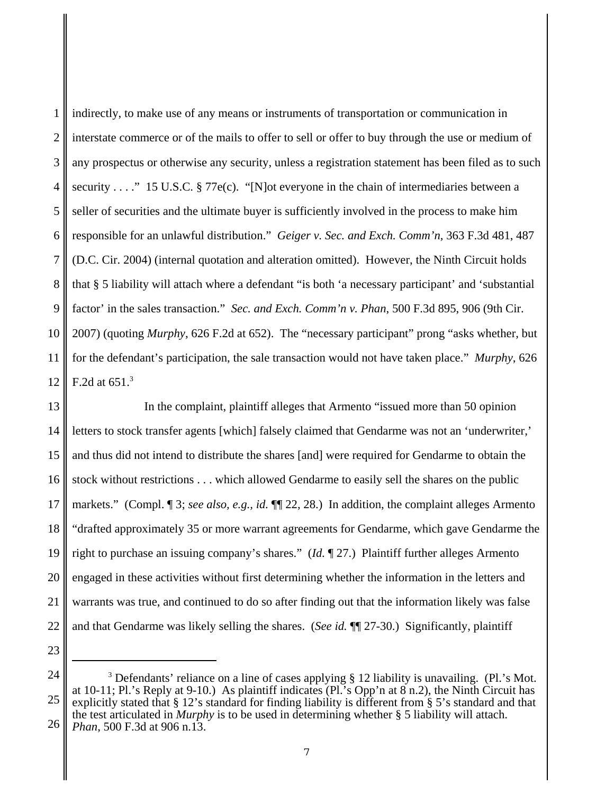1 2 3 4 5 6 7 8 9 10 11 12 indirectly, to make use of any means or instruments of transportation or communication in interstate commerce or of the mails to offer to sell or offer to buy through the use or medium of any prospectus or otherwise any security, unless a registration statement has been filed as to such security . . . ." 15 U.S.C. § 77e(c). "[N] ot everyone in the chain of intermediaries between a seller of securities and the ultimate buyer is sufficiently involved in the process to make him responsible for an unlawful distribution." *Geiger v. Sec. and Exch. Comm'n*, 363 F.3d 481, 487 (D.C. Cir. 2004) (internal quotation and alteration omitted). However, the Ninth Circuit holds that § 5 liability will attach where a defendant "is both 'a necessary participant' and 'substantial factor' in the sales transaction." *Sec. and Exch. Comm'n v. Phan*, 500 F.3d 895, 906 (9th Cir. 2007) (quoting *Murphy*, 626 F.2d at 652). The "necessary participant" prong "asks whether, but for the defendant's participation, the sale transaction would not have taken place." *Murphy*, 626 F.2d at  $651<sup>3</sup>$ 

13 14 15 16 17 18 19 20 21 22 In the complaint, plaintiff alleges that Armento "issued more than 50 opinion letters to stock transfer agents [which] falsely claimed that Gendarme was not an 'underwriter,' and thus did not intend to distribute the shares [and] were required for Gendarme to obtain the stock without restrictions . . . which allowed Gendarme to easily sell the shares on the public markets." (Compl. 1 3; *see also, e.g., id.* 1 1 22, 28.) In addition, the complaint alleges Armento "drafted approximately 35 or more warrant agreements for Gendarme, which gave Gendarme the right to purchase an issuing company's shares." (*Id.* ¶ 27.) Plaintiff further alleges Armento engaged in these activities without first determining whether the information in the letters and warrants was true, and continued to do so after finding out that the information likely was false and that Gendarme was likely selling the shares. (*See id.* ¶¶ 27-30.) Significantly, plaintiff

<sup>25</sup> 26 <sup>3</sup> Defendants' reliance on a line of cases applying  $\S$  12 liability is unavailing. (Pl.'s Mot. at 10-11; Pl.'s Reply at 9-10.) As plaintiff indicates (Pl.'s Opp'n at  $\overline{8}$  n.2), the Ninth Circuit has explicitly stated that § 12's standard for finding liability is different from § 5's standard and that the test articulated in *Murphy* is to be used in determining whether § 5 liability will attach. *Phan*, 500 F.3d at 906 n.13.